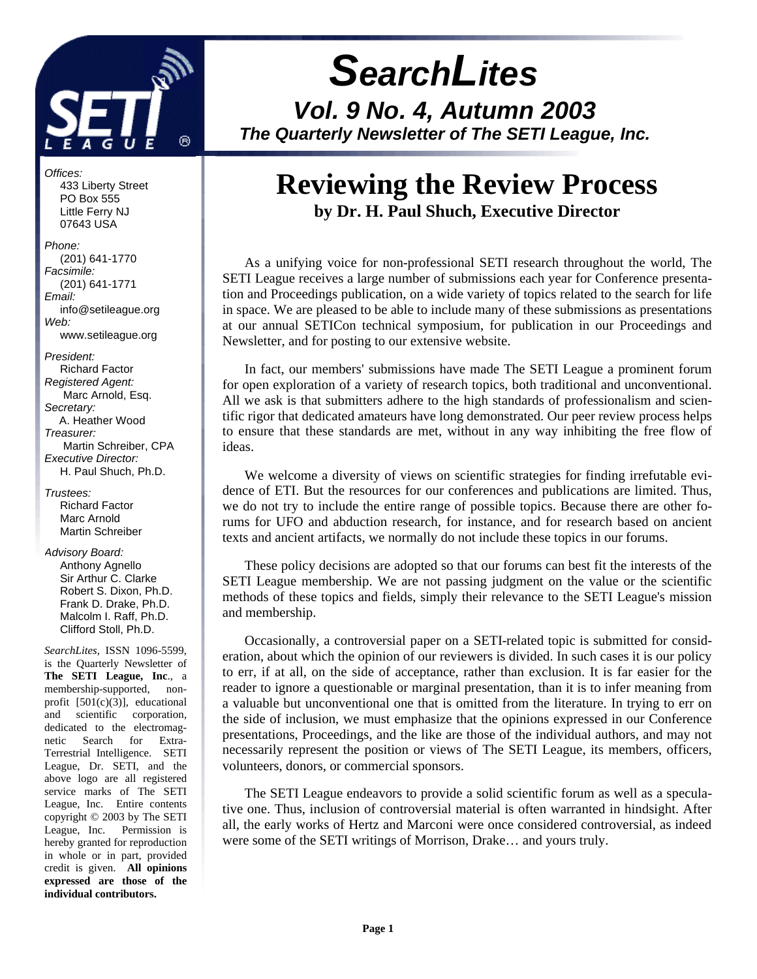

*Offices:* 433 Liberty Street PO Box 555 Little Ferry NJ 07643 USA

*Phone:* (201) 641-1770 *Facsimile:* (201) 641-1771 *Email:* info@setileague.org *Web:*

www.setileague.org

*President:* Richard Factor *Registered Agent:*  Marc Arnold, Esq. *Secretary:* A. Heather Wood *Treasurer:*  Martin Schreiber, CPA *Executive Director:* H. Paul Shuch, Ph.D.

*Trustees:* Richard Factor Marc Arnold Martin Schreiber

#### *Advisory Board:* Anthony Agnello Sir Arthur C. Clarke Robert S. Dixon, Ph.D. Frank D. Drake, Ph.D. Malcolm I. Raff, Ph.D. Clifford Stoll, Ph.D.

*SearchLites*, ISSN 1096-5599, is the Quarterly Newsletter of **The SETI League, Inc**., a membership-supported, nonprofit [501(c)(3)], educational and scientific corporation, dedicated to the electromagnetic Search for Extra-Terrestrial Intelligence. SETI League, Dr. SETI, and the above logo are all registered service marks of The SETI League, Inc. Entire contents copyright © 2003 by The SETI League, Inc. Permission is hereby granted for reproduction in whole or in part, provided credit is given. **All opinions expressed are those of the individual contributors.**

# *SearchLites*

*Vol. 9 No. 4, Autumn 2003 The Quarterly Newsletter of The SETI League, Inc.* 

# **Reviewing the Review Process by Dr. H. Paul Shuch, Executive Director**

As a unifying voice for non-professional SETI research throughout the world, The SETI League receives a large number of submissions each year for Conference presentation and Proceedings publication, on a wide variety of topics related to the search for life in space. We are pleased to be able to include many of these submissions as presentations at our annual SETICon technical symposium, for publication in our Proceedings and Newsletter, and for posting to our extensive website.

In fact, our members' submissions have made The SETI League a prominent forum for open exploration of a variety of research topics, both traditional and unconventional. All we ask is that submitters adhere to the high standards of professionalism and scientific rigor that dedicated amateurs have long demonstrated. Our peer review process helps to ensure that these standards are met, without in any way inhibiting the free flow of ideas.

We welcome a diversity of views on scientific strategies for finding irrefutable evidence of ETI. But the resources for our conferences and publications are limited. Thus, we do not try to include the entire range of possible topics. Because there are other forums for UFO and abduction research, for instance, and for research based on ancient texts and ancient artifacts, we normally do not include these topics in our forums.

These policy decisions are adopted so that our forums can best fit the interests of the SETI League membership. We are not passing judgment on the value or the scientific methods of these topics and fields, simply their relevance to the SETI League's mission and membership.

Occasionally, a controversial paper on a SETI-related topic is submitted for consideration, about which the opinion of our reviewers is divided. In such cases it is our policy to err, if at all, on the side of acceptance, rather than exclusion. It is far easier for the reader to ignore a questionable or marginal presentation, than it is to infer meaning from a valuable but unconventional one that is omitted from the literature. In trying to err on the side of inclusion, we must emphasize that the opinions expressed in our Conference presentations, Proceedings, and the like are those of the individual authors, and may not necessarily represent the position or views of The SETI League, its members, officers, volunteers, donors, or commercial sponsors.

The SETI League endeavors to provide a solid scientific forum as well as a speculative one. Thus, inclusion of controversial material is often warranted in hindsight. After all, the early works of Hertz and Marconi were once considered controversial, as indeed were some of the SETI writings of Morrison, Drake… and yours truly.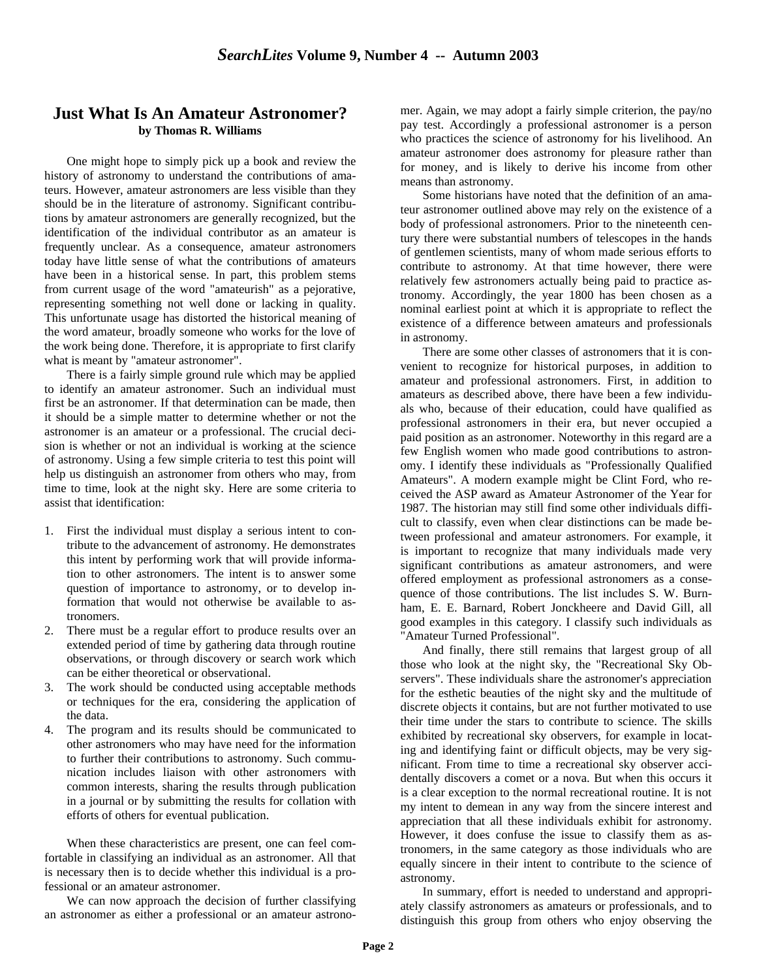#### **Just What Is An Amateur Astronomer? by Thomas R. Williams**

One might hope to simply pick up a book and review the history of astronomy to understand the contributions of amateurs. However, amateur astronomers are less visible than they should be in the literature of astronomy. Significant contributions by amateur astronomers are generally recognized, but the identification of the individual contributor as an amateur is frequently unclear. As a consequence, amateur astronomers today have little sense of what the contributions of amateurs have been in a historical sense. In part, this problem stems from current usage of the word "amateurish" as a pejorative, representing something not well done or lacking in quality. This unfortunate usage has distorted the historical meaning of the word amateur, broadly someone who works for the love of the work being done. Therefore, it is appropriate to first clarify what is meant by "amateur astronomer".

There is a fairly simple ground rule which may be applied to identify an amateur astronomer. Such an individual must first be an astronomer. If that determination can be made, then it should be a simple matter to determine whether or not the astronomer is an amateur or a professional. The crucial decision is whether or not an individual is working at the science of astronomy. Using a few simple criteria to test this point will help us distinguish an astronomer from others who may, from time to time, look at the night sky. Here are some criteria to assist that identification:

- 1. First the individual must display a serious intent to contribute to the advancement of astronomy. He demonstrates this intent by performing work that will provide information to other astronomers. The intent is to answer some question of importance to astronomy, or to develop information that would not otherwise be available to astronomers.
- 2. There must be a regular effort to produce results over an extended period of time by gathering data through routine observations, or through discovery or search work which can be either theoretical or observational.
- 3. The work should be conducted using acceptable methods or techniques for the era, considering the application of the data.
- 4. The program and its results should be communicated to other astronomers who may have need for the information to further their contributions to astronomy. Such communication includes liaison with other astronomers with common interests, sharing the results through publication in a journal or by submitting the results for collation with efforts of others for eventual publication.

When these characteristics are present, one can feel comfortable in classifying an individual as an astronomer. All that is necessary then is to decide whether this individual is a professional or an amateur astronomer.

We can now approach the decision of further classifying an astronomer as either a professional or an amateur astronomer. Again, we may adopt a fairly simple criterion, the pay/no pay test. Accordingly a professional astronomer is a person who practices the science of astronomy for his livelihood. An amateur astronomer does astronomy for pleasure rather than for money, and is likely to derive his income from other means than astronomy.

Some historians have noted that the definition of an amateur astronomer outlined above may rely on the existence of a body of professional astronomers. Prior to the nineteenth century there were substantial numbers of telescopes in the hands of gentlemen scientists, many of whom made serious efforts to contribute to astronomy. At that time however, there were relatively few astronomers actually being paid to practice astronomy. Accordingly, the year 1800 has been chosen as a nominal earliest point at which it is appropriate to reflect the existence of a difference between amateurs and professionals in astronomy.

There are some other classes of astronomers that it is convenient to recognize for historical purposes, in addition to amateur and professional astronomers. First, in addition to amateurs as described above, there have been a few individuals who, because of their education, could have qualified as professional astronomers in their era, but never occupied a paid position as an astronomer. Noteworthy in this regard are a few English women who made good contributions to astronomy. I identify these individuals as "Professionally Qualified Amateurs". A modern example might be Clint Ford, who received the ASP award as Amateur Astronomer of the Year for 1987. The historian may still find some other individuals difficult to classify, even when clear distinctions can be made between professional and amateur astronomers. For example, it is important to recognize that many individuals made very significant contributions as amateur astronomers, and were offered employment as professional astronomers as a consequence of those contributions. The list includes S. W. Burnham, E. E. Barnard, Robert Jonckheere and David Gill, all good examples in this category. I classify such individuals as "Amateur Turned Professional".

And finally, there still remains that largest group of all those who look at the night sky, the "Recreational Sky Observers". These individuals share the astronomer's appreciation for the esthetic beauties of the night sky and the multitude of discrete objects it contains, but are not further motivated to use their time under the stars to contribute to science. The skills exhibited by recreational sky observers, for example in locating and identifying faint or difficult objects, may be very significant. From time to time a recreational sky observer accidentally discovers a comet or a nova. But when this occurs it is a clear exception to the normal recreational routine. It is not my intent to demean in any way from the sincere interest and appreciation that all these individuals exhibit for astronomy. However, it does confuse the issue to classify them as astronomers, in the same category as those individuals who are equally sincere in their intent to contribute to the science of astronomy.

In summary, effort is needed to understand and appropriately classify astronomers as amateurs or professionals, and to distinguish this group from others who enjoy observing the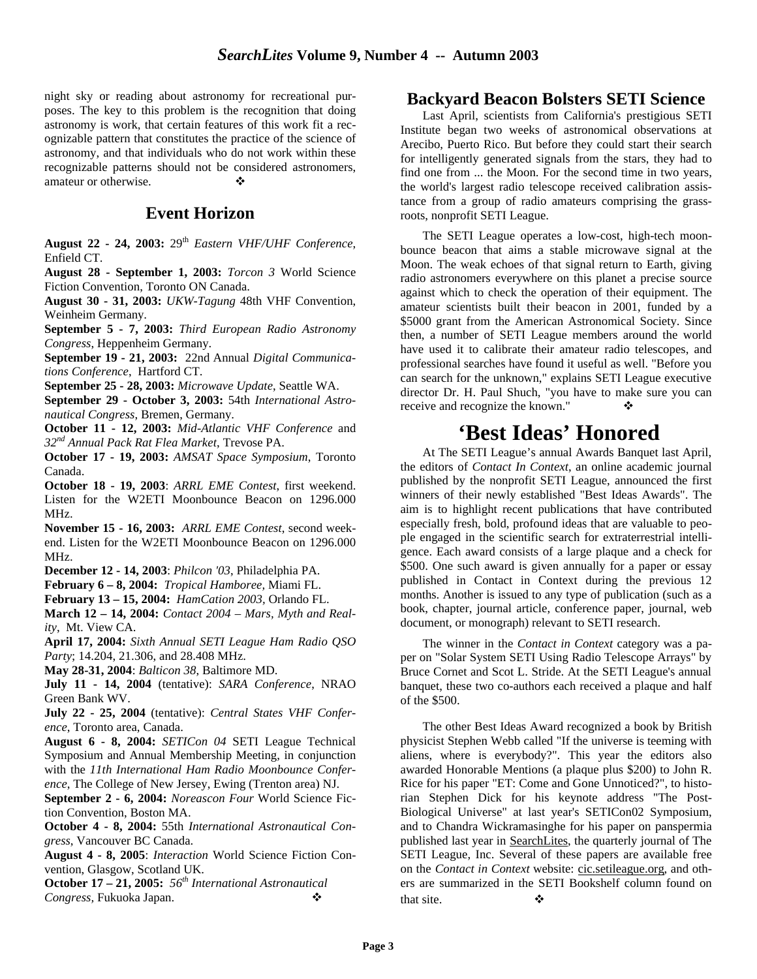night sky or reading about astronomy for recreational purposes. The key to this problem is the recognition that doing astronomy is work, that certain features of this work fit a recognizable pattern that constitutes the practice of the science of astronomy, and that individuals who do not work within these recognizable patterns should not be considered astronomers, amateur or otherwise.  $\bullet$ 

## **Event Horizon**

**August 22 - 24, 2003:** 29th *Eastern VHF/UHF Conference*, Enfield CT.

**August 28 - September 1, 2003:** *Torcon 3* World Science Fiction Convention, Toronto ON Canada.

**August 30 - 31, 2003:** *UKW-Tagung* 48th VHF Convention, Weinheim Germany.

**September 5 - 7, 2003:** *Third European Radio Astronomy Congress*, Heppenheim Germany.

**September 19 - 21, 2003:** 22nd Annual *Digital Communications Conference*, Hartford CT.

**September 25 - 28, 2003:** *Microwave Update*, Seattle WA.

**September 29 - October 3, 2003:** 54th *International Astronautical Congress*, Bremen, Germany.

**October 11 - 12, 2003:** *Mid-Atlantic VHF Conference* and *32nd Annual Pack Rat Flea Market*, Trevose PA.

**October 17 - 19, 2003:** *AMSAT Space Symposium*, Toronto Canada.

**October 18 - 19, 2003**: *ARRL EME Contest*, first weekend. Listen for the W2ETI Moonbounce Beacon on 1296.000 MHz.

**November 15 - 16, 2003:** *ARRL EME Contest*, second weekend. Listen for the W2ETI Moonbounce Beacon on 1296.000 MHz.

**December 12 - 14, 2003**: *Philcon '03*, Philadelphia PA.

**February 6 – 8, 2004:** *Tropical Hamboree,* Miami FL.

**February 13 – 15, 2004:** *HamCation 2003,* Orlando FL.

**March 12 – 14, 2004:** *Contact 2004 – Mars, Myth and Reality*, Mt. View CA.

**April 17, 2004:** *Sixth Annual SETI League Ham Radio QSO Party*; 14.204, 21.306, and 28.408 MHz.

**May 28-31, 2004**: *Balticon 38*, Baltimore MD.

**July 11 - 14, 2004** (tentative): *SARA Conference*, NRAO Green Bank WV.

**July 22 - 25, 2004** (tentative): *Central States VHF Conference*, Toronto area, Canada.

**August 6 - 8, 2004:** *SETICon 04* SETI League Technical Symposium and Annual Membership Meeting, in conjunction with the *11th International Ham Radio Moonbounce Conference*, The College of New Jersey, Ewing (Trenton area) NJ.

**September 2 - 6, 2004:** *Noreascon Four* World Science Fiction Convention, Boston MA.

**October 4 - 8, 2004:** 55th *International Astronautical Congress*, Vancouver BC Canada.

**August 4 - 8, 2005**: *Interaction* World Science Fiction Convention, Glasgow, Scotland UK.

**October 17 – 21, 2005:** *56th International Astronautical*  Congress, Fukuoka Japan.

## **Backyard Beacon Bolsters SETI Science**

Last April, scientists from California's prestigious SETI Institute began two weeks of astronomical observations at Arecibo, Puerto Rico. But before they could start their search for intelligently generated signals from the stars, they had to find one from ... the Moon. For the second time in two years, the world's largest radio telescope received calibration assistance from a group of radio amateurs comprising the grassroots, nonprofit SETI League.

The SETI League operates a low-cost, high-tech moonbounce beacon that aims a stable microwave signal at the Moon. The weak echoes of that signal return to Earth, giving radio astronomers everywhere on this planet a precise source against which to check the operation of their equipment. The amateur scientists built their beacon in 2001, funded by a \$5000 grant from the American Astronomical Society. Since then, a number of SETI League members around the world have used it to calibrate their amateur radio telescopes, and professional searches have found it useful as well. "Before you can search for the unknown," explains SETI League executive director Dr. H. Paul Shuch, "you have to make sure you can receive and recognize the known."

# **'Best Ideas' Honored**

At The SETI League's annual Awards Banquet last April, the editors of *Contact In Context*, an online academic journal published by the nonprofit SETI League, announced the first winners of their newly established "Best Ideas Awards". The aim is to highlight recent publications that have contributed especially fresh, bold, profound ideas that are valuable to people engaged in the scientific search for extraterrestrial intelligence. Each award consists of a large plaque and a check for \$500. One such award is given annually for a paper or essay published in Contact in Context during the previous 12 months. Another is issued to any type of publication (such as a book, chapter, journal article, conference paper, journal, web document, or monograph) relevant to SETI research.

The winner in the *Contact in Context* category was a paper on "Solar System SETI Using Radio Telescope Arrays" by Bruce Cornet and Scot L. Stride. At the SETI League's annual banquet, these two co-authors each received a plaque and half of the \$500.

The other Best Ideas Award recognized a book by British physicist Stephen Webb called "If the universe is teeming with aliens, where is everybody?". This year the editors also awarded Honorable Mentions (a plaque plus \$200) to John R. Rice for his paper "ET: Come and Gone Unnoticed?", to historian Stephen Dick for his keynote address "The Post-Biological Universe" at last year's SETICon02 Symposium, and to Chandra Wickramasinghe for his paper on panspermia published last year in SearchLites, the quarterly journal of The SETI League, Inc. Several of these papers are available free on the *Contact in Context* website: cic.setileague.org, and others are summarized in the SETI Bookshelf column found on that site.  $\mathbf{\hat{v}}$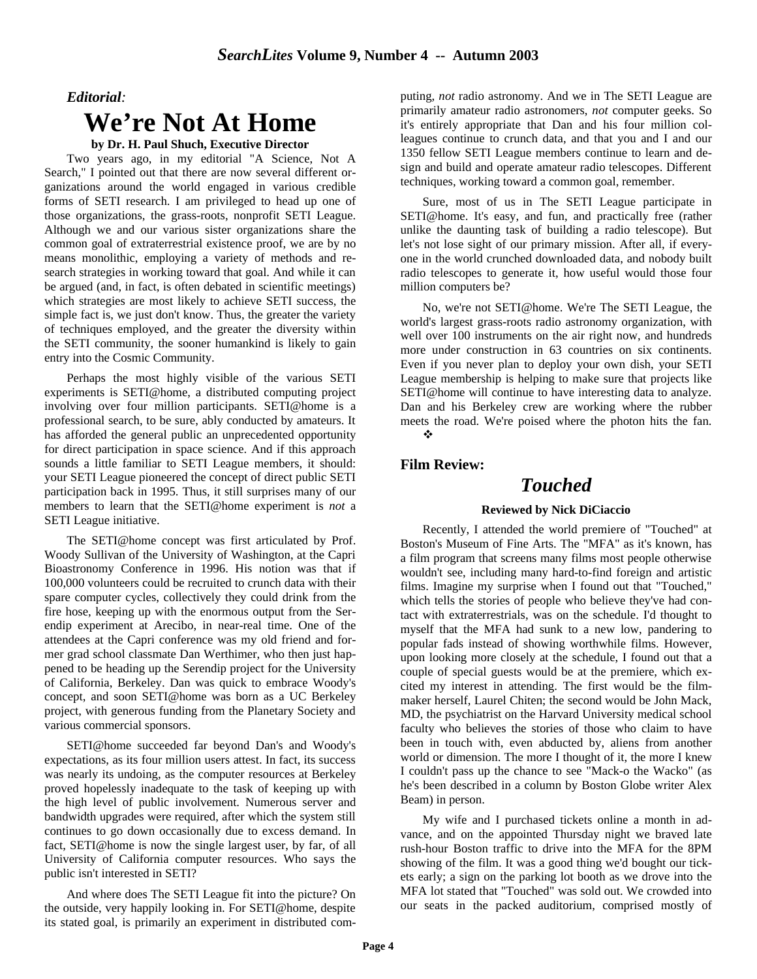#### *Editorial:*

## **We're Not At Home**

#### **by Dr. H. Paul Shuch, Executive Director**

Two years ago, in my editorial "A Science, Not A Search," I pointed out that there are now several different organizations around the world engaged in various credible forms of SETI research. I am privileged to head up one of those organizations, the grass-roots, nonprofit SETI League. Although we and our various sister organizations share the common goal of extraterrestrial existence proof, we are by no means monolithic, employing a variety of methods and research strategies in working toward that goal. And while it can be argued (and, in fact, is often debated in scientific meetings) which strategies are most likely to achieve SETI success, the simple fact is, we just don't know. Thus, the greater the variety of techniques employed, and the greater the diversity within the SETI community, the sooner humankind is likely to gain entry into the Cosmic Community.

Perhaps the most highly visible of the various SETI experiments is SETI@home, a distributed computing project involving over four million participants. SETI@home is a professional search, to be sure, ably conducted by amateurs. It has afforded the general public an unprecedented opportunity for direct participation in space science. And if this approach sounds a little familiar to SETI League members, it should: your SETI League pioneered the concept of direct public SETI participation back in 1995. Thus, it still surprises many of our members to learn that the SETI@home experiment is *not* a SETI League initiative.

The SETI@home concept was first articulated by Prof. Woody Sullivan of the University of Washington, at the Capri Bioastronomy Conference in 1996. His notion was that if 100,000 volunteers could be recruited to crunch data with their spare computer cycles, collectively they could drink from the fire hose, keeping up with the enormous output from the Serendip experiment at Arecibo, in near-real time. One of the attendees at the Capri conference was my old friend and former grad school classmate Dan Werthimer, who then just happened to be heading up the Serendip project for the University of California, Berkeley. Dan was quick to embrace Woody's concept, and soon SETI@home was born as a UC Berkeley project, with generous funding from the Planetary Society and various commercial sponsors.

SETI@home succeeded far beyond Dan's and Woody's expectations, as its four million users attest. In fact, its success was nearly its undoing, as the computer resources at Berkeley proved hopelessly inadequate to the task of keeping up with the high level of public involvement. Numerous server and bandwidth upgrades were required, after which the system still continues to go down occasionally due to excess demand. In fact, SETI@home is now the single largest user, by far, of all University of California computer resources. Who says the public isn't interested in SETI?

And where does The SETI League fit into the picture? On the outside, very happily looking in. For SETI@home, despite its stated goal, is primarily an experiment in distributed computing, *not* radio astronomy. And we in The SETI League are primarily amateur radio astronomers, *not* computer geeks. So it's entirely appropriate that Dan and his four million colleagues continue to crunch data, and that you and I and our 1350 fellow SETI League members continue to learn and design and build and operate amateur radio telescopes. Different techniques, working toward a common goal, remember.

Sure, most of us in The SETI League participate in SETI@home. It's easy, and fun, and practically free (rather unlike the daunting task of building a radio telescope). But let's not lose sight of our primary mission. After all, if everyone in the world crunched downloaded data, and nobody built radio telescopes to generate it, how useful would those four million computers be?

No, we're not SETI@home. We're The SETI League, the world's largest grass-roots radio astronomy organization, with well over 100 instruments on the air right now, and hundreds more under construction in 63 countries on six continents. Even if you never plan to deploy your own dish, your SETI League membership is helping to make sure that projects like SETI@home will continue to have interesting data to analyze. Dan and his Berkeley crew are working where the rubber meets the road. We're poised where the photon hits the fan. v

#### **Film Review:**

## *Touched*

#### **Reviewed by Nick DiCiaccio**

Recently, I attended the world premiere of "Touched" at Boston's Museum of Fine Arts. The "MFA" as it's known, has a film program that screens many films most people otherwise wouldn't see, including many hard-to-find foreign and artistic films. Imagine my surprise when I found out that "Touched," which tells the stories of people who believe they've had contact with extraterrestrials, was on the schedule. I'd thought to myself that the MFA had sunk to a new low, pandering to popular fads instead of showing worthwhile films. However, upon looking more closely at the schedule, I found out that a couple of special guests would be at the premiere, which excited my interest in attending. The first would be the filmmaker herself, Laurel Chiten; the second would be John Mack, MD, the psychiatrist on the Harvard University medical school faculty who believes the stories of those who claim to have been in touch with, even abducted by, aliens from another world or dimension. The more I thought of it, the more I knew I couldn't pass up the chance to see "Mack-o the Wacko" (as he's been described in a column by Boston Globe writer Alex Beam) in person.

My wife and I purchased tickets online a month in advance, and on the appointed Thursday night we braved late rush-hour Boston traffic to drive into the MFA for the 8PM showing of the film. It was a good thing we'd bought our tickets early; a sign on the parking lot booth as we drove into the MFA lot stated that "Touched" was sold out. We crowded into our seats in the packed auditorium, comprised mostly of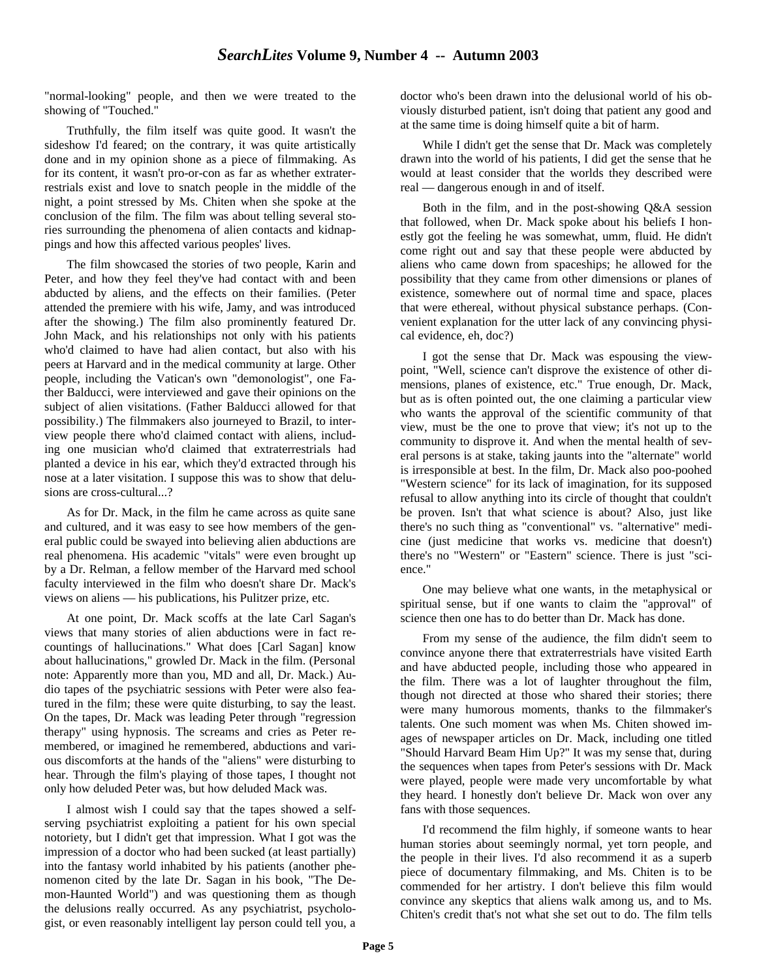"normal-looking" people, and then we were treated to the showing of "Touched."

Truthfully, the film itself was quite good. It wasn't the sideshow I'd feared; on the contrary, it was quite artistically done and in my opinion shone as a piece of filmmaking. As for its content, it wasn't pro-or-con as far as whether extraterrestrials exist and love to snatch people in the middle of the night, a point stressed by Ms. Chiten when she spoke at the conclusion of the film. The film was about telling several stories surrounding the phenomena of alien contacts and kidnappings and how this affected various peoples' lives.

The film showcased the stories of two people, Karin and Peter, and how they feel they've had contact with and been abducted by aliens, and the effects on their families. (Peter attended the premiere with his wife, Jamy, and was introduced after the showing.) The film also prominently featured Dr. John Mack, and his relationships not only with his patients who'd claimed to have had alien contact, but also with his peers at Harvard and in the medical community at large. Other people, including the Vatican's own "demonologist", one Father Balducci, were interviewed and gave their opinions on the subject of alien visitations. (Father Balducci allowed for that possibility.) The filmmakers also journeyed to Brazil, to interview people there who'd claimed contact with aliens, including one musician who'd claimed that extraterrestrials had planted a device in his ear, which they'd extracted through his nose at a later visitation. I suppose this was to show that delusions are cross-cultural...?

As for Dr. Mack, in the film he came across as quite sane and cultured, and it was easy to see how members of the general public could be swayed into believing alien abductions are real phenomena. His academic "vitals" were even brought up by a Dr. Relman, a fellow member of the Harvard med school faculty interviewed in the film who doesn't share Dr. Mack's views on aliens — his publications, his Pulitzer prize, etc.

At one point, Dr. Mack scoffs at the late Carl Sagan's views that many stories of alien abductions were in fact recountings of hallucinations." What does [Carl Sagan] know about hallucinations," growled Dr. Mack in the film. (Personal note: Apparently more than you, MD and all, Dr. Mack.) Audio tapes of the psychiatric sessions with Peter were also featured in the film; these were quite disturbing, to say the least. On the tapes, Dr. Mack was leading Peter through "regression therapy" using hypnosis. The screams and cries as Peter remembered, or imagined he remembered, abductions and various discomforts at the hands of the "aliens" were disturbing to hear. Through the film's playing of those tapes, I thought not only how deluded Peter was, but how deluded Mack was.

I almost wish I could say that the tapes showed a selfserving psychiatrist exploiting a patient for his own special notoriety, but I didn't get that impression. What I got was the impression of a doctor who had been sucked (at least partially) into the fantasy world inhabited by his patients (another phenomenon cited by the late Dr. Sagan in his book, "The Demon-Haunted World") and was questioning them as though the delusions really occurred. As any psychiatrist, psychologist, or even reasonably intelligent lay person could tell you, a

doctor who's been drawn into the delusional world of his obviously disturbed patient, isn't doing that patient any good and at the same time is doing himself quite a bit of harm.

While I didn't get the sense that Dr. Mack was completely drawn into the world of his patients, I did get the sense that he would at least consider that the worlds they described were real — dangerous enough in and of itself.

Both in the film, and in the post-showing Q&A session that followed, when Dr. Mack spoke about his beliefs I honestly got the feeling he was somewhat, umm, fluid. He didn't come right out and say that these people were abducted by aliens who came down from spaceships; he allowed for the possibility that they came from other dimensions or planes of existence, somewhere out of normal time and space, places that were ethereal, without physical substance perhaps. (Convenient explanation for the utter lack of any convincing physical evidence, eh, doc?)

I got the sense that Dr. Mack was espousing the viewpoint, "Well, science can't disprove the existence of other dimensions, planes of existence, etc." True enough, Dr. Mack, but as is often pointed out, the one claiming a particular view who wants the approval of the scientific community of that view, must be the one to prove that view; it's not up to the community to disprove it. And when the mental health of several persons is at stake, taking jaunts into the "alternate" world is irresponsible at best. In the film, Dr. Mack also poo-poohed "Western science" for its lack of imagination, for its supposed refusal to allow anything into its circle of thought that couldn't be proven. Isn't that what science is about? Also, just like there's no such thing as "conventional" vs. "alternative" medicine (just medicine that works vs. medicine that doesn't) there's no "Western" or "Eastern" science. There is just "science."

One may believe what one wants, in the metaphysical or spiritual sense, but if one wants to claim the "approval" of science then one has to do better than Dr. Mack has done.

From my sense of the audience, the film didn't seem to convince anyone there that extraterrestrials have visited Earth and have abducted people, including those who appeared in the film. There was a lot of laughter throughout the film, though not directed at those who shared their stories; there were many humorous moments, thanks to the filmmaker's talents. One such moment was when Ms. Chiten showed images of newspaper articles on Dr. Mack, including one titled "Should Harvard Beam Him Up?" It was my sense that, during the sequences when tapes from Peter's sessions with Dr. Mack were played, people were made very uncomfortable by what they heard. I honestly don't believe Dr. Mack won over any fans with those sequences.

I'd recommend the film highly, if someone wants to hear human stories about seemingly normal, yet torn people, and the people in their lives. I'd also recommend it as a superb piece of documentary filmmaking, and Ms. Chiten is to be commended for her artistry. I don't believe this film would convince any skeptics that aliens walk among us, and to Ms. Chiten's credit that's not what she set out to do. The film tells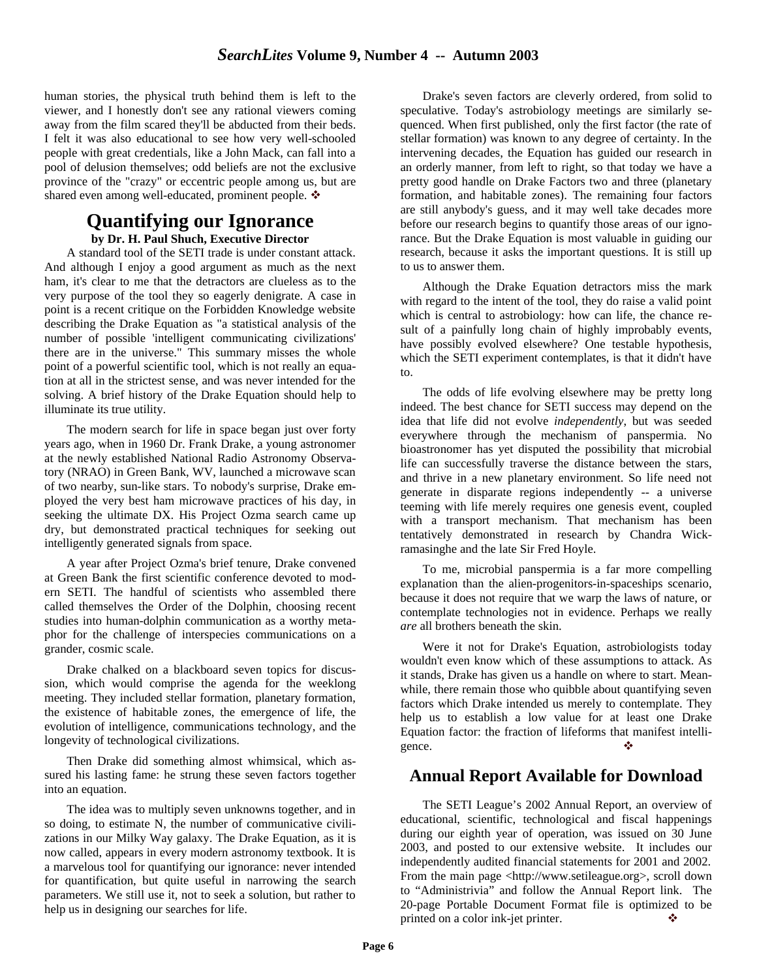human stories, the physical truth behind them is left to the viewer, and I honestly don't see any rational viewers coming away from the film scared they'll be abducted from their beds. I felt it was also educational to see how very well-schooled people with great credentials, like a John Mack, can fall into a pool of delusion themselves; odd beliefs are not the exclusive province of the "crazy" or eccentric people among us, but are shared even among well-educated, prominent people.  $\triangleleft$ 

## **Quantifying our Ignorance**

#### **by Dr. H. Paul Shuch, Executive Director**

A standard tool of the SETI trade is under constant attack. And although I enjoy a good argument as much as the next ham, it's clear to me that the detractors are clueless as to the very purpose of the tool they so eagerly denigrate. A case in point is a recent critique on the Forbidden Knowledge website describing the Drake Equation as "a statistical analysis of the number of possible 'intelligent communicating civilizations' there are in the universe." This summary misses the whole point of a powerful scientific tool, which is not really an equation at all in the strictest sense, and was never intended for the solving. A brief history of the Drake Equation should help to illuminate its true utility.

The modern search for life in space began just over forty years ago, when in 1960 Dr. Frank Drake, a young astronomer at the newly established National Radio Astronomy Observatory (NRAO) in Green Bank, WV, launched a microwave scan of two nearby, sun-like stars. To nobody's surprise, Drake employed the very best ham microwave practices of his day, in seeking the ultimate DX. His Project Ozma search came up dry, but demonstrated practical techniques for seeking out intelligently generated signals from space.

A year after Project Ozma's brief tenure, Drake convened at Green Bank the first scientific conference devoted to modern SETI. The handful of scientists who assembled there called themselves the Order of the Dolphin, choosing recent studies into human-dolphin communication as a worthy metaphor for the challenge of interspecies communications on a grander, cosmic scale.

Drake chalked on a blackboard seven topics for discussion, which would comprise the agenda for the weeklong meeting. They included stellar formation, planetary formation, the existence of habitable zones, the emergence of life, the evolution of intelligence, communications technology, and the longevity of technological civilizations.

Then Drake did something almost whimsical, which assured his lasting fame: he strung these seven factors together into an equation.

The idea was to multiply seven unknowns together, and in so doing, to estimate N, the number of communicative civilizations in our Milky Way galaxy. The Drake Equation, as it is now called, appears in every modern astronomy textbook. It is a marvelous tool for quantifying our ignorance: never intended for quantification, but quite useful in narrowing the search parameters. We still use it, not to seek a solution, but rather to help us in designing our searches for life.

Drake's seven factors are cleverly ordered, from solid to speculative. Today's astrobiology meetings are similarly sequenced. When first published, only the first factor (the rate of stellar formation) was known to any degree of certainty. In the intervening decades, the Equation has guided our research in an orderly manner, from left to right, so that today we have a pretty good handle on Drake Factors two and three (planetary formation, and habitable zones). The remaining four factors are still anybody's guess, and it may well take decades more before our research begins to quantify those areas of our ignorance. But the Drake Equation is most valuable in guiding our research, because it asks the important questions. It is still up to us to answer them.

Although the Drake Equation detractors miss the mark with regard to the intent of the tool, they do raise a valid point which is central to astrobiology: how can life, the chance result of a painfully long chain of highly improbably events, have possibly evolved elsewhere? One testable hypothesis, which the SETI experiment contemplates, is that it didn't have to.

The odds of life evolving elsewhere may be pretty long indeed. The best chance for SETI success may depend on the idea that life did not evolve *independently*, but was seeded everywhere through the mechanism of panspermia. No bioastronomer has yet disputed the possibility that microbial life can successfully traverse the distance between the stars, and thrive in a new planetary environment. So life need not generate in disparate regions independently -- a universe teeming with life merely requires one genesis event, coupled with a transport mechanism. That mechanism has been tentatively demonstrated in research by Chandra Wickramasinghe and the late Sir Fred Hoyle.

To me, microbial panspermia is a far more compelling explanation than the alien-progenitors-in-spaceships scenario, because it does not require that we warp the laws of nature, or contemplate technologies not in evidence. Perhaps we really *are* all brothers beneath the skin.

Were it not for Drake's Equation, astrobiologists today wouldn't even know which of these assumptions to attack. As it stands, Drake has given us a handle on where to start. Meanwhile, there remain those who quibble about quantifying seven factors which Drake intended us merely to contemplate. They help us to establish a low value for at least one Drake Equation factor: the fraction of lifeforms that manifest intelligence.

## **Annual Report Available for Download**

The SETI League's 2002 Annual Report, an overview of educational, scientific, technological and fiscal happenings during our eighth year of operation, was issued on 30 June 2003, and posted to our extensive website. It includes our independently audited financial statements for 2001 and 2002. From the main page <http://www.setileague.org>, scroll down to "Administrivia" and follow the Annual Report link. The 20-page Portable Document Format file is optimized to be printed on a color ink-jet printer.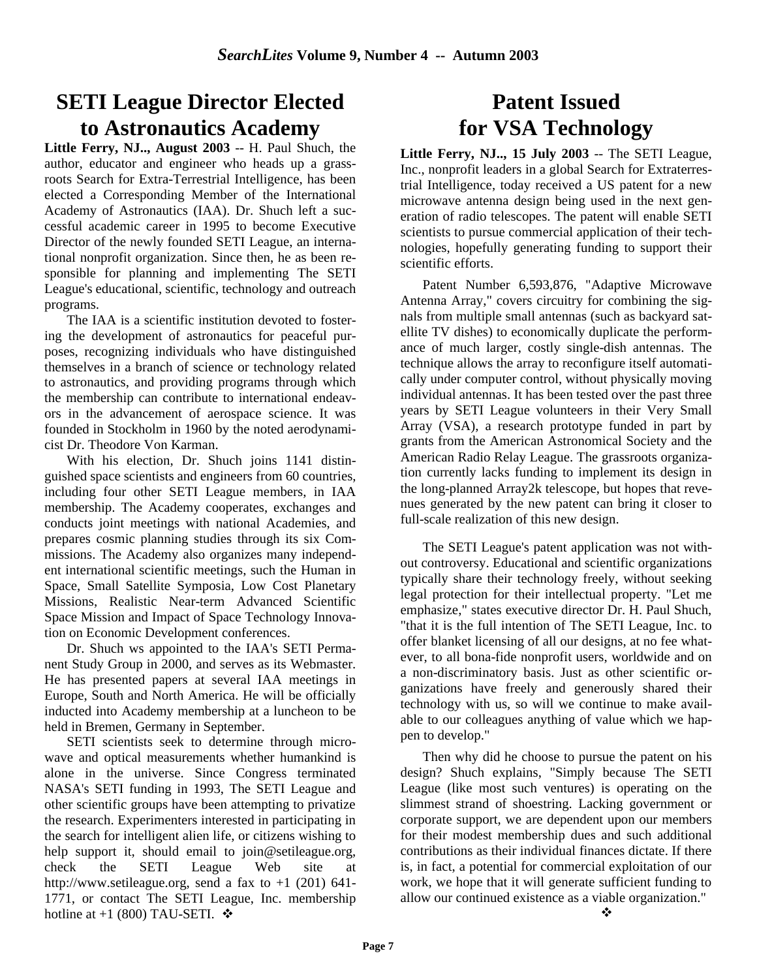# **SETI League Director Elected to Astronautics Academy**

**Little Ferry, NJ.., August 2003** -- H. Paul Shuch, the author, educator and engineer who heads up a grassroots Search for Extra-Terrestrial Intelligence, has been elected a Corresponding Member of the International Academy of Astronautics (IAA). Dr. Shuch left a successful academic career in 1995 to become Executive Director of the newly founded SETI League, an international nonprofit organization. Since then, he as been responsible for planning and implementing The SETI League's educational, scientific, technology and outreach programs.

The IAA is a scientific institution devoted to fostering the development of astronautics for peaceful purposes, recognizing individuals who have distinguished themselves in a branch of science or technology related to astronautics, and providing programs through which the membership can contribute to international endeavors in the advancement of aerospace science. It was founded in Stockholm in 1960 by the noted aerodynamicist Dr. Theodore Von Karman.

With his election, Dr. Shuch joins 1141 distinguished space scientists and engineers from 60 countries, including four other SETI League members, in IAA membership. The Academy cooperates, exchanges and conducts joint meetings with national Academies, and prepares cosmic planning studies through its six Commissions. The Academy also organizes many independent international scientific meetings, such the Human in Space, Small Satellite Symposia, Low Cost Planetary Missions, Realistic Near-term Advanced Scientific Space Mission and Impact of Space Technology Innovation on Economic Development conferences.

Dr. Shuch ws appointed to the IAA's SETI Permanent Study Group in 2000, and serves as its Webmaster. He has presented papers at several IAA meetings in Europe, South and North America. He will be officially inducted into Academy membership at a luncheon to be held in Bremen, Germany in September.

SETI scientists seek to determine through microwave and optical measurements whether humankind is alone in the universe. Since Congress terminated NASA's SETI funding in 1993, The SETI League and other scientific groups have been attempting to privatize the research. Experimenters interested in participating in the search for intelligent alien life, or citizens wishing to help support it, should email to join@setileague.org, check the SETI League Web site at http://www.setileague.org, send a fax to  $+1$  (201) 641-1771, or contact The SETI League, Inc. membership hotline at  $+1$  (800) TAU-SETI.  $\cdot \cdot \cdot$ 

# **Patent Issued for VSA Technology**

**Little Ferry, NJ.., 15 July 2003** -- The SETI League, Inc., nonprofit leaders in a global Search for Extraterrestrial Intelligence, today received a US patent for a new microwave antenna design being used in the next generation of radio telescopes. The patent will enable SETI scientists to pursue commercial application of their technologies, hopefully generating funding to support their scientific efforts.

Patent Number 6,593,876, "Adaptive Microwave Antenna Array," covers circuitry for combining the signals from multiple small antennas (such as backyard satellite TV dishes) to economically duplicate the performance of much larger, costly single-dish antennas. The technique allows the array to reconfigure itself automatically under computer control, without physically moving individual antennas. It has been tested over the past three years by SETI League volunteers in their Very Small Array (VSA), a research prototype funded in part by grants from the American Astronomical Society and the American Radio Relay League. The grassroots organization currently lacks funding to implement its design in the long-planned Array2k telescope, but hopes that revenues generated by the new patent can bring it closer to full-scale realization of this new design.

The SETI League's patent application was not without controversy. Educational and scientific organizations typically share their technology freely, without seeking legal protection for their intellectual property. "Let me emphasize," states executive director Dr. H. Paul Shuch, "that it is the full intention of The SETI League, Inc. to offer blanket licensing of all our designs, at no fee whatever, to all bona-fide nonprofit users, worldwide and on a non-discriminatory basis. Just as other scientific organizations have freely and generously shared their technology with us, so will we continue to make available to our colleagues anything of value which we happen to develop."

Then why did he choose to pursue the patent on his design? Shuch explains, "Simply because The SETI League (like most such ventures) is operating on the slimmest strand of shoestring. Lacking government or corporate support, we are dependent upon our members for their modest membership dues and such additional contributions as their individual finances dictate. If there is, in fact, a potential for commercial exploitation of our work, we hope that it will generate sufficient funding to allow our continued existence as a viable organization."